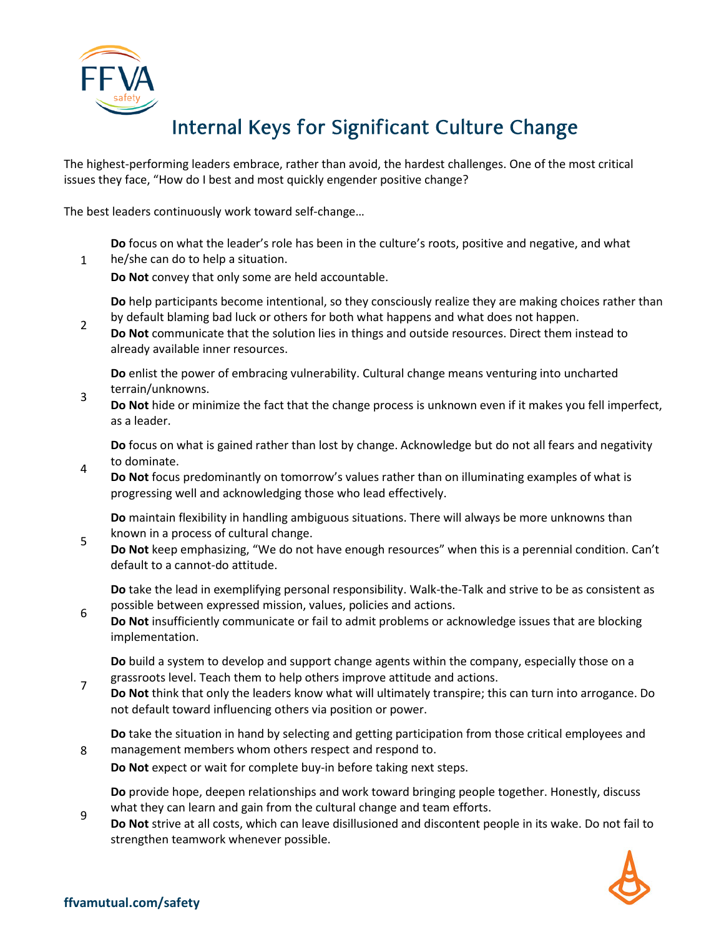

The highest-performing leaders embrace, rather than avoid, the hardest challenges. One of the most critical issues they face, "How do I best and most quickly engender positive change?

The best leaders continuously work toward self-change…

**Do** focus on what the leader's role has been in the culture's roots, positive and negative, and what

1 he/she can do to help a situation. **Do Not** convey that only some are held accountable.

**Do** help participants become intentional, so they consciously realize they are making choices rather than by default blaming bad luck or others for both what happens and what does not happen.

2 **Do Not** communicate that the solution lies in things and outside resources. Direct them instead to already available inner resources.

**Do** enlist the power of embracing vulnerability. Cultural change means venturing into uncharted terrain/unknowns.

3 **Do Not** hide or minimize the fact that the change process is unknown even if it makes you fell imperfect, as a leader.

**Do** focus on what is gained rather than lost by change. Acknowledge but do not all fears and negativity to dominate.

4 **Do Not** focus predominantly on tomorrow's values rather than on illuminating examples of what is progressing well and acknowledging those who lead effectively.

**Do** maintain flexibility in handling ambiguous situations. There will always be more unknowns than known in a process of cultural change.

5 **Do Not** keep emphasizing, "We do not have enough resources" when this is a perennial condition. Can't default to a cannot-do attitude.

**Do** take the lead in exemplifying personal responsibility. Walk-the-Talk and strive to be as consistent as possible between expressed mission, values, policies and actions.

6 **Do Not** insufficiently communicate or fail to admit problems or acknowledge issues that are blocking implementation.

**Do** build a system to develop and support change agents within the company, especially those on a grassroots level. Teach them to help others improve attitude and actions.

7 **Do Not** think that only the leaders know what will ultimately transpire; this can turn into arrogance. Do not default toward influencing others via position or power.

**Do** take the situation in hand by selecting and getting participation from those critical employees and management members whom others respect and respond to.

**Do Not** expect or wait for complete buy-in before taking next steps.

**Do** provide hope, deepen relationships and work toward bringing people together. Honestly, discuss what they can learn and gain from the cultural change and team efforts.

9 **Do Not** strive at all costs, which can leave disillusioned and discontent people in its wake. Do not fail to strengthen teamwork whenever possible.



8